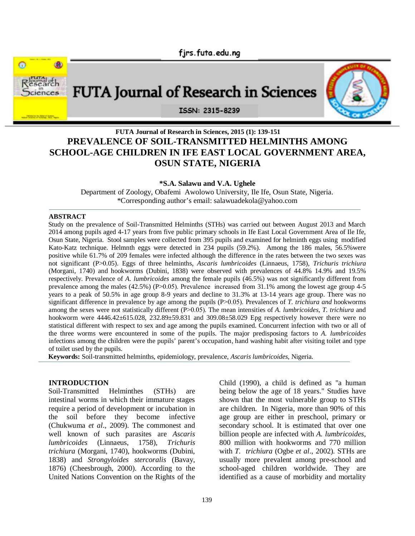

# **FUTA Journal of Research in Sciences, 2015 (1): 139-151 PREVALENCE OF SOIL-TRANSMITTED HELMINTHS AMONG SCHOOL-AGE CHILDREN IN IFE EAST LOCAL GOVERNMENT AREA, OSUN STATE, NIGERIA**

**\*S.A. Salawu and V.A. Ughele**

Department of Zoology, Obafemi Awolowo University, Ile Ife, Osun State, Nigeria. \*Corresponding author's email: salawuadekola@yahoo.com

#### **ABSTRACT**

Study on the prevalence of Soil-Transmitted Helminths (STHs) was carried out between August 2013 and March 2014 among pupils aged 4-17 years from five public primary schools in Ife East Local Government Area of Ile Ife, Osun State, Nigeria. Stool samples were collected from 395 pupils and examined for helminth eggs using modified Kato-Katz technique. Helmnth eggs were detected in 234 pupils (59.2%). Among the 186 males, 56.5%were positive while 61.7% of 209 females were infected although the difference in the rates between the two sexes was not significant (P˃0.05). Eggs of three helminths, *Ascaris lumbricoides* (Linnaeus, 1758)*, Trichuris trichiura*  (Morgani, 1740) and hookworms (Dubini, 1838) were observed with prevalences of 44.8% 14.9% and 19.5% respectively. Prevalence of *A. lumbricoides* among the female pupils (46.5%) was not significantly different from prevalence among the males (42.5%) (P>0.05). Prevalence increased from 31.1% among the lowest age group 4-5 years to a peak of 50.5% in age group 8-9 years and decline to 31.3% at 13-14 years age group. There was no significant difference in prevalence by age among the pupils (P>0.05). Prevalences of *T. trichiura and* hookworms among the sexes were not statistically different (P>0.05). The mean intensities of *A. lumbricoides, T. trichiura* and hookworm were 4446.42±615.028, 232.89±59.831 and 309.08±58.029 Epg respectively however there were no statistical different with respect to sex and age among the pupils examined. Concurrent infection with two or all of the three worms were encountered in some of the pupils. The major predisposing factors to *A. lumbricoides* infections among the children were the pupils' parent's occupation, hand washing habit after visiting toilet and type of toilet used by the pupils.

**Keywords:** Soil-transmitted helminths, epidemiology, prevalence, *Ascaris lumbricoides*, Nigeria.

#### **INTRODUCTION**

Soil-Transmitted Helminthes (STHs) are intestinal worms in which their immature stages require a period of development or incubation in the soil before they become infective (Chukwuma *et al*., 2009). The commonest and well known of such parasites are *Ascaris lumbricoides* (Linnaeus, 1758)*, Trichuris trichiura* (Morgani, 1740), hookworms (Dubini, 1838) and *Strongyloides stercoralis* (Bavay, 1876) (Cheesbrough, 2000). According to the United Nations Convention on the Rights of the

Child (1990), a child is defined as "a human being below the age of 18 years." Studies have shown that the most vulnerable group to STHs are children. In Nigeria, more than 90% of this age group are either in preschool, primary or secondary school. It is estimated that over one billion people are infected with *A. lumbricoides*, 800 million with hookworms and 770 million with *T. trichiura* (Ogbe *et al*., 2002). STHs are usually more prevalent among pre-school and school-aged children worldwide. They are identified as a cause of morbidity and mortality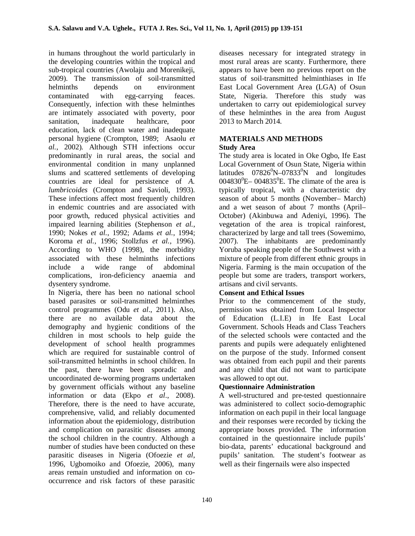in humans throughout the world particularly in the developing countries within the tropical and sub-tropical countries (Awolaju and Morenikeji, 2009). The transmission of soil-transmitted helminths depends on environment contaminated with egg-carrying feaces. Consequently, infection with these helminthes are intimately associated with poverty, poor sanitation, inadequate healthcare, poor education, lack of clean water and inadequate personal hygiene (Crompton, 1989; Asaolu *et al.*, 2002). Although STH infections occur predominantly in rural areas, the social and environmental condition in many unplanned slums and scattered settlements of developing countries are ideal for persistence of *A. lumbricoides* (Crompton and Savioli, 1993). These infections affect most frequently children in endemic countries and are associated with poor growth, reduced physical activities and impaired learning abilities (Stephenson *et al.*, 1990; Nokes *et al.*, 1992; Adams *et al.*, 1994; Koroma *et al.*, 1996; Stollzfus *et al.,* 1996). According to WHO (1998), the morbidity associated with these helminths infections include a wide range of abdominal complications, iron-deficiency anaemia and dysentery syndrome.

In Nigeria, there has been no national school based parasites or soil-transmitted helminthes control programmes (Odu *et al*., 2011). Also, there are no available data about the demography and hygienic conditions of the children in most schools to help guide the development of school health programmes which are required for sustainable control of soil-transmitted helminths in school children. In the past, there have been sporadic and uncoordinated de-worming programs undertaken by government officials without any baseline information or data (Ekpo *et al*., 2008). Therefore, there is the need to have accurate, comprehensive, valid, and reliably documented information about the epidemiology, distribution and complication on parasitic diseases among the school children in the country. Although a number of studies have been conducted on these parasitic diseases in Nigeria (Ofoezie *et al*, 1996, Ugbomoiko and Ofoezie, 2006), many areas remain unstudied and information on cooccurrence and risk factors of these parasitic

diseases necessary for integrated strategy in most rural areas are scanty. Furthermore, there appears to have been no previous report on the status of soil-transmitted helminthiases in Ife East Local Government Area (LGA) of Osun State, Nigeria. Therefore this study was undertaken to carry out epidemiological survey of these helminthes in the area from August 2013 to March 2014.

## **MATERIALS AND METHODS Study Area**

The study area is located in Oke Ogbo, Ife East Local Government of Osun State, Nigeria within latitudes  $07826^{\circ}N - 07833^{\circ}N$  and longitudes  $0.04830^0$ E –  $0.04835^0$ E. The climate of the area is typically tropical, with a characteristic dry season of about 5 months (November– March) and a wet season of about 7 months (April– October) (Akinbuwa and Adeniyi, 1996). The vegetation of the area is tropical rainforest, characterized by large and tall trees (Sowemimo, 2007). The inhabitants are predominantly Yoruba speaking people of the Southwest with a mixture of people from different ethnic groups in Nigeria. Farming is the main occupation of the people but some are traders, transport workers, artisans and civil servants.

# **Consent and Ethical Issues**

Prior to the commencement of the study, permission was obtained from Local Inspector of Education (L.I.E) in Ife East Local Government. Schools Heads and Class Teachers of the selected schools were contacted and the parents and pupils were adequately enlightened on the purpose of the study. Informed consent was obtained from each pupil and their parents and any child that did not want to participate was allowed to opt out.

# **Questionnaire Administration**

A well-structured and pre-tested questionnaire was administered to collect socio-demographic information on each pupil in their local language and their responses were recorded by ticking the appropriate boxes provided. The information contained in the questionnaire include pupils' bio-data, parents' educational background and pupils' sanitation. The student's footwear as well as their fingernails were also inspected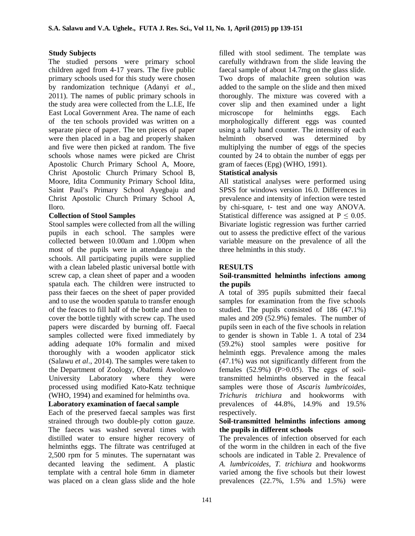## **Study Subjects**

The studied persons were primary school children aged from 4-17 years. The five public primary schools used for this study were chosen by randomization technique (Adanyi *et al.*, 2011). The names of public primary schools in the study area were collected from the L.I.E, Ife East Local Government Area. The name of each of the ten schools provided was written on a separate piece of paper. The ten pieces of paper were then placed in a bag and properly shaken and five were then picked at random. The five schools whose names were picked are Christ Apostolic Church Primary School A, Moore, Christ Apostolic Church Primary School B, Moore, Idita Community Primary School Idita, Saint Paul's Primary School Ayegbaju and Christ Apostolic Church Primary School A, Iloro.

# **Collection of Stool Samples**

Stool samples were collected from all the willing pupils in each school. The samples were collected between 10.00am and 1.00pm when most of the pupils were in attendance in the schools. All participating pupils were supplied with a clean labeled plastic universal bottle with screw cap, a clean sheet of paper and a wooden spatula each. The children were instructed to pass their faeces on the sheet of paper provided and to use the wooden spatula to transfer enough of the feaces to fill half of the bottle and then to cover the bottle tightly with screw cap. The used papers were discarded by burning off. Faecal samples collected were fixed immediately by adding adequate 10% formalin and mixed thoroughly with a wooden applicator stick (Salawu *et al*., 2014). The samples were taken to the Department of Zoology, Obafemi Awolowo University Laboratory where they were processed using modified Kato-Katz technique (WHO, 1994) and examined for helminths ova.

## **Laboratory examination of faecal sample**

Each of the preserved faecal samples was first strained through two double-ply cotton gauze. The faeces was washed several times with distilled water to ensure higher recovery of helminths eggs. The filtrate was centrifuged at 2,500 rpm for 5 minutes. The supernatant was decanted leaving the sediment. A plastic template with a central hole 6mm in diameter was placed on a clean glass slide and the hole

filled with stool sediment. The template was carefully withdrawn from the slide leaving the faecal sample of about 14.7mg on the glass slide. Two drops of malachite green solution was added to the sample on the slide and then mixed thoroughly. The mixture was covered with a cover slip and then examined under a light microscope for helminths eggs. Each morphologically different eggs was counted using a tally hand counter. The intensity of each helminth observed was determined by multiplying the number of eggs of the species counted by 24 to obtain the number of eggs per gram of faeces (Epg) (WHO, 1991).

# **Statistical analysis**

All statistical analyses were performed using SPSS for windows version 16.0. Differences in prevalence and intensity of infection were tested by chi-square, t- test and one way ANOVA. Statistical difference was assigned at  $P \le 0.05$ . Bivariate logistic regression was further carried out to assess the predictive effect of the various variable measure on the prevalence of all the three helminths in this study.

## **RESULTS**

## **Soil-transmitted helminths infections among the pupils**

A total of 395 pupils submitted their faecal samples for examination from the five schools studied. The pupils consisted of 186 (47.1%) males and 209 (52.9%) females. The number of pupils seen in each of the five schools in relation to gender is shown in Table 1. A total of 234 (59.2%) stool samples were positive for helminth eggs. Prevalence among the males (47.1%) was not significantly different from the females  $(52.9\%)$   $(P>0.05)$ . The eggs of soiltransmitted helminths observed in the feacal samples were those of *Ascaris lumbricoides, Trichuris trichiura* and hookworms with prevalences of 44.8%, 14.9% and 19.5% respectively.

## **Soil-transmitted helminths infections among the pupils in different schools**

The prevalences of infection observed for each of the worm in the children in each of the five schools are indicated in Table 2. Prevalence of *A. lumbricoides, T. trichiura* and hookworms varied among the five schools but their lowest prevalences (22.7%, 1.5% and 1.5%) were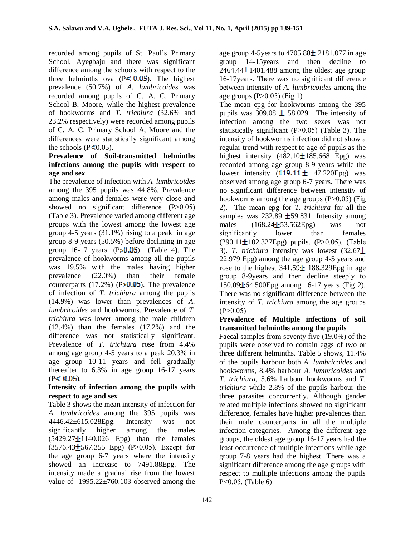recorded among pupils of St. Paul's Primary School, Ayegbaju and there was significant difference among the schools with respect to the three helminths ova  $(P \le 0.05)$ . The highest prevalence (50.7%) of *A. lumbricoides* was recorded among pupils of C. A. C. Primary School B, Moore, while the highest prevalence of hookworms and *T. trichiura* (32.6% and 23.2% respectively) were recorded among pupils of C. A. C. Primary School A, Moore and the differences were statistically significant among the schools  $(P< 0.05)$ .

## **Prevalence of Soil-transmitted helminths infections among the pupils with respect to age and sex**

The prevalence of infection with *A. lumbricoides* among the 395 pupils was 44.8%. Prevalence among males and females were very close and showed no significant difference  $(P>0.05)$ (Table 3). Prevalence varied among different age groups with the lowest among the lowest age group 4-5 years (31.1%) rising to a peak in age group 8-9 years (50.5%) before declining in age group  $16-17$  years.  $(P > 0.05)$  (Table 4). The prevalence of hookworms among all the pupils was 19.5% with the males having higher<br>prevalence (22.0%) than their female prevalence (22.0%) than their female counterparts  $(17.2\%)$  (P  $\sqrt{0.05}$ ). The prevalence of infection of *T. trichiura* among the pupils (14.9%) was lower than prevalences of *A. lumbricoides* and hookworms. Prevalence of *T. trichiura* was lower among the male children (12.4%) than the females (17.2%) and the difference was not statistically significant. Prevalence of *T. trichiura* rose from 4.4% among age group 4-5 years to a peak 20.3% in age group 10-11 years and fell gradually thereafter to 6.3% in age group 16-17 years  $(P < 0.05)$ .

## **Intensity of infection among the pupils with respect to age and sex**

Table 3 shows the mean intensity of infection for *A. lumbricoides* among the 395 pupils was 4446.42±615.028Epg. Intensity was not significantly higher among the males  $(5429.27 \pm 1140.026$  Epg) than the females  $(3576.43\pm 567.355$  Epg)  $(P>0.05)$ . Except for the age group 6-7 years where the intensity showed an increase to 7491.88Epg. The intensity made a gradual rise from the lowest value of 1995.22±760.103 observed among the

age group 4-5 years to  $4705.88 \pm 2181.077$  in age group 14-15years and then decline to  $2464.44 \pm 1401.488$  among the oldest age group 16-17years. There was no significant difference between intensity of *A. lumbricoides* among the age groups  $(P>0.05)$  (Fig 1)

The mean epg for hookworms among the 395 pupils was 309.08  $\pm$  58.029. The intensity of infection among the two sexes was not statistically significant  $(P>0.05)$  (Table 3). The intensity of hookworms infection did not show a regular trend with respect to age of pupils as the highest intensity  $(482.10 \pm 185.668)$  Epg) was recorded among age group 8-9 years while the lowest intensity  $(119.11 \pm 47.220Epg)$  was observed among age group 6-7 years. There was no significant difference between intensity of hookworms among the age groups  $(P>0.05)$  (Fig 2). The mean epg for *T. trichiura* for all the samples was 232.89  $\pm$  59.831. Intensity among males  $(168.24\pm 53.562Epg)$  was not significantly lower than females  $(290.11 \pm 102.327$ Epg) pupils.  $(P>0.05)$ . (Table 3). *T. trichiura* intensity was lowest (32.67 22.979 Epg) among the age group 4-5 years and rose to the highest  $341.59 \pm 188.329$ Epg in age group 8-9years and then decline steeply to  $150.09\pm 64.500E$  pg among 16-17 years (Fig 2). There was no significant difference between the intensity of *T. trichiura* among the age groups  $(P>0.05)$ 

## **Prevalence of Multiple infections of soil transmitted helminths among the pupils**

Faecal samples from seventy five (19.0%) of the pupils were observed to contain eggs of two or three different helminths. Table 5 shows, 11.4% of the pupils harbour both *A. lumbricoides* and hookworms, 8.4% harbour *A. lumbricoides* and *T. trichiura,* 5.6% harbour hookworms and *T. trichiura* while 2.8% of the pupils harbour the three parasites concurrently. Although gender related multiple infections showed no significant difference, females have higher prevalences than their male counterparts in all the multiple infection categories. Among the different age groups, the oldest age group 16-17 years had the least occurrence of multiple infections while age group 7-8 years had the highest. There was a significant difference among the age groups with respect to multiple infections among the pupils P˂0.05. (Table 6)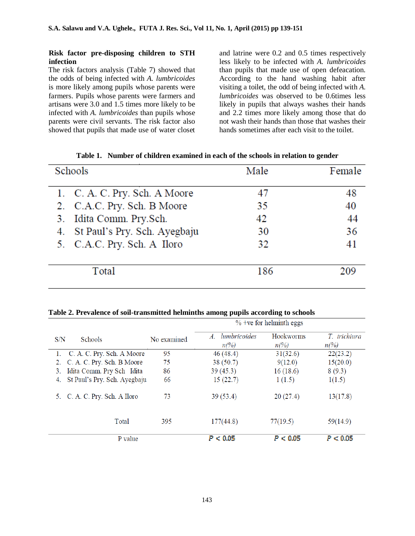#### **Risk factor pre-disposing children to STH infection**

The risk factors analysis (Table 7) showed that the odds of being infected with *A. lumbricoides*  is more likely among pupils whose parents were farmers. Pupils whose parents were farmers and artisans were 3.0 and 1.5 times more likely to be infected with *A. lumbricoides* than pupils whose parents were civil servants. The risk factor also showed that pupils that made use of water closet

and latrine were 0.2 and 0.5 times respectively less likely to be infected with *A. lumbricoides*  than pupils that made use of open defeacation. According to the hand washing habit after visiting a toilet, the odd of being infected with *A. lumbricoides* was observed to be 0.6times less likely in pupils that always washes their hands and 2.2 times more likely among those that do not wash their hands than those that washes their hands sometimes after each visit to the toilet.

| Schools                         | Male | Female |
|---------------------------------|------|--------|
| 1. C. A. C. Pry. Sch. A Moore   | 47   | 48     |
| 2. C.A.C. Pry. Sch. B Moore     | 35   | 40     |
| 3. Idita Comm. Pry.Sch.         | 42   | 44     |
| 4. St Paul's Pry. Sch. Ayegbaju | 30   | 36     |
| 5. C.A.C. Pry. Sch. A Iloro     | 32   | 41     |
| Total                           | 186  | 209    |

**Table 1. Number of children examined in each of the schools in relation to gender**

#### **Table 2. Prevalence of soil-transmitted helminths among pupils according to schools**

|                                    |             |                                                | $%$ +ve for helminth eggs   |                                |
|------------------------------------|-------------|------------------------------------------------|-----------------------------|--------------------------------|
| S/N<br><b>Schools</b>              | No examined | lumbricoides<br>A.<br>$n\frac{\gamma}{\delta}$ | Hookworms<br>$n\frac{6}{6}$ | T. trichiura<br>$n\frac{6}{6}$ |
| 1. C. A. C. Pry. Sch. A Moore      | 95          | 46(48.4)                                       | 31(32.6)                    | 22(23.2)                       |
| C. A. C. Pry. Sch. B Moore<br>2.   | 75          | 38(50.7)                                       | 9(12.0)                     | 15(20.0)                       |
| Idita Comm. Pry Sch Idita<br>3.    | 86          | 39(45.3)                                       | 16(18.6)                    | 8(9.3)                         |
| St Paul's Pry. Sch. Ayegbaju<br>4. | 66          | 15(22.7)                                       | 1(1.5)                      | 1(1.5)                         |
| 5. C. A. C. Pry. Sch. A Iloro      | 73          | 39(53.4)                                       | 20(27.4)                    | 13(17.8)                       |
| Total                              | 395         | 177(44.8)                                      | 77(19.5)                    | 59(14.9)                       |
| P value                            |             | P < 0.05                                       | P < 0.05                    | P < 0.05                       |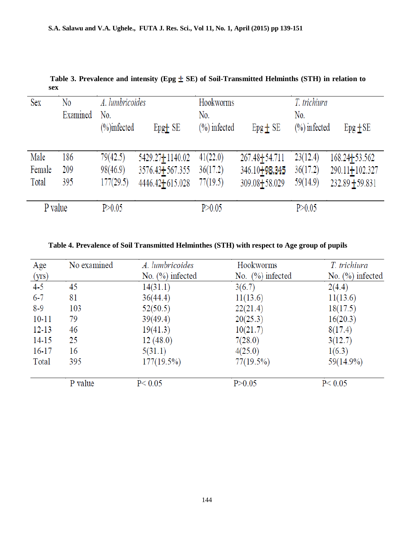| Sex     | No<br>Examined | A. lumbricoides<br>No.<br>$(\% )$ infected | $EpgT$ SE           | Hookworms<br>No.<br>$(\%)$ infected | $Epg + SE$                 | T. trichiura<br>No.<br>$(\%)$ infected | $Epg$ $\pm$ SE    |
|---------|----------------|--------------------------------------------|---------------------|-------------------------------------|----------------------------|----------------------------------------|-------------------|
| Male    | 186            | 79(42.5)                                   | 5429.27 + 1140.02   | 41(22.0)                            | 267.48 + 54.711            | 23(12.4)                               | 168.24+53.562     |
| Female  | 209            | 98(46.9)                                   | $3576.43 + 567.355$ | 36(17.2)                            | 346.10 <sup>1</sup> 98.345 | 36(17.2)                               | 290.11+102.327    |
| Total   | 395            | 177(29.5)                                  | 4446.42+615.028     | 77(19.5)                            | 309.08+58.029              | 59(14.9)                               | $232.89 + 59.831$ |
| P value |                | P > 0.05                                   |                     | P > 0.05                            |                            | P > 0.05                               |                   |

Table 3. Prevalence and intensity (Epg  $\pm$  SE) of Soil-Transmitted Helminths (STH) in relation to **sex**

| Table 4. Prevalence of Soil Transmitted Helminthes (STH) with respect to Age group of pupils |  |  |  |  |
|----------------------------------------------------------------------------------------------|--|--|--|--|
|----------------------------------------------------------------------------------------------|--|--|--|--|

| Age       | No examined | A. lumbricoides     | Hookworms           | T. trichiura        |
|-----------|-------------|---------------------|---------------------|---------------------|
| (yrs)     |             | No. $(\%)$ infected | No. $(\%)$ infected | No. $(\%)$ infected |
| $4 - 5$   | 45          | 14(31.1)            | 3(6.7)              | 2(4.4)              |
| $6 - 7$   | 81          | 36(44.4)            | 11(13.6)            | 11(13.6)            |
| $8-9$     | 103         | 52(50.5)            | 22(21.4)            | 18(17.5)            |
| $10 - 11$ | 79          | 39(49.4)            | 20(25.3)            | 16(20.3)            |
| $12 - 13$ | 46          | 19(41.3)            | 10(21.7)            | 8(17.4)             |
| $14 - 15$ | 25          | 12(48.0)            | 7(28.0)             | 3(12.7)             |
| $16 - 17$ | 16          | 5(31.1)             | 4(25.0)             | 1(6.3)              |
| Total     | 395         | $177(19.5\%)$       | 77(19.5%)           | 59(14.9%)           |
|           | P value     | P < 0.05            | P > 0.05            | P < 0.05            |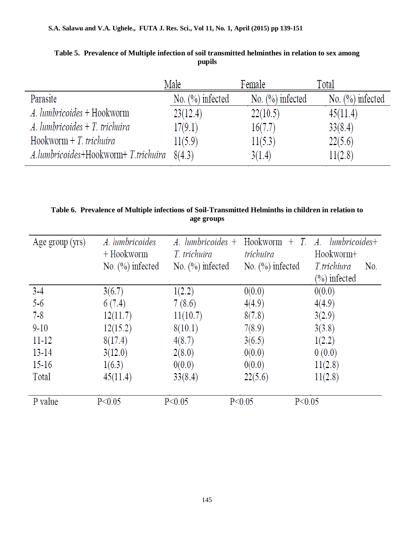|                                               | Male                | Female              | Total               |
|-----------------------------------------------|---------------------|---------------------|---------------------|
| Parasite                                      | No. $(\%)$ infected | No. $(\%)$ infected | No. $(\%)$ infected |
| A. lumbricoides + Hookworm                    | 23(12.4)            | 22(10.5)            | 45(11.4)            |
| $\Lambda$ . lumbricoides + T. trichuira       | 17(9.1)             | 16(7.7)             | 33(8.4)             |
| $Hookworm + T. trichuira$                     | 11(5.9)             | 11(5.3)             | 22(5.6)             |
| $A.lumbricoides+Hookworm+T. trichuira 8(4.3)$ |                     | 3(1.4)              | 11(2.8)             |

**Table 5. Prevalence of Multiple infection of soil transmitted helminthes in relation to sex among pupils**

**Table 6. Prevalence of Multiple infections of Soil-Transmitted Helminths in children in relation to age groups**

| Age group (yrs) | A. lumbricoides     | $A.$ lumbricoides $+$ | Hookworm<br>$+$ T.   | lumbricoides+<br>A.           |
|-----------------|---------------------|-----------------------|----------------------|-------------------------------|
|                 | $+$ Hookworm        | T. trichuira          | trichuira            | Hookworm+                     |
|                 | No. $(\%)$ infected | No. $(\%)$ infected   | No. $(\%)$ infected  | T.trichiura<br>N <sub>0</sub> |
|                 |                     |                       |                      | $(\%)$ infected               |
| $3-4$           | 3(6.7)              | 1(2.2)                | 0(0.0)               | 0(0.0)                        |
| $5-6$           | 6(7.4)              | 7(8.6)                | 4(4.9)               | 4(4.9)                        |
| $7 - 8$         | 12(11.7)            | 11(10.7)              | 8(7.8)               | 3(2.9)                        |
| $9 - 10$        | 12(15.2)            | 8(10.1)               | 7(8.9)               | 3(3.8)                        |
| $11 - 12$       | 8(17.4)             | 4(8.7)                | 3(6.5)               | 1(2.2)                        |
| $13 - 14$       | 3(12.0)             | 2(8.0)                | 0(0.0)               | 0(0.0)                        |
| $15 - 16$       | 1(6.3)              | 0(0.0)                | 0(0.0)               | 11(2.8)                       |
| Total           | 45(11.4)            | 33(8.4)               | 22(5.6)              | 11(2.8)                       |
| P value         | P < 0.05            | P < 0.05              | P < 0.05<br>P < 0.05 |                               |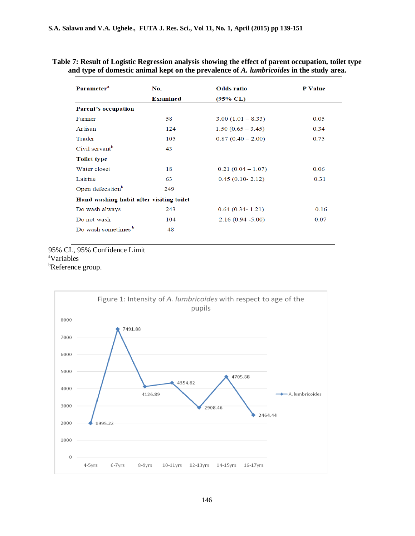## **Table 7: Result of Logistic Regression analysis showing the effect of parent occupation, toilet type and type of domestic animal kept on the prevalence of** *A. lumbricoides* **in the study area.**

| Parameter <sup>a</sup>                   | No.             | <b>Odds</b> ratio   | <b>P</b> Value |
|------------------------------------------|-----------------|---------------------|----------------|
|                                          | <b>Examined</b> | $(95\% \ CL)$       |                |
| Parent's occupation                      |                 |                     |                |
| Farmer                                   | 58              | $3.00(1.01 - 8.33)$ | 0.05           |
| Artisan                                  | 124             | $1.50(0.65 - 3.45)$ | 0.34           |
| Trader                                   | 105             | $0.87(0.40 - 2.00)$ | 0.75           |
| Civil servant <sup>b</sup>               | 43              |                     |                |
| <b>Toilet type</b>                       |                 |                     |                |
| Water closet                             | 18              | $0.21(0.04-1.07)$   | 0.06           |
| Latrine                                  | 63              | $0.45(0.10-2.12)$   | 0.31           |
| Open defecation <sup>b</sup>             | 249             |                     |                |
| Hand washing habit after visiting toilet |                 |                     |                |
| Do wash always                           | 243             | $0.64(0.34 - 1.21)$ | 0.16           |
| Do not wash                              | 104             | $2.16(0.94 - 5.00)$ | 0.07           |
| Do wash sometimes <sup>b</sup>           | 48              |                     |                |

## 95% CL, 95% Confidence Limit <sup>a</sup>Variables **bReference** group.

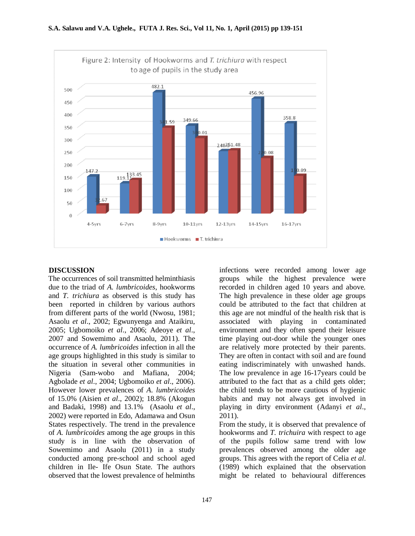

## **DISCUSSION**

The occurrences of soil transmitted helminthiasis due to the triad of *A. lumbricoides*, hookworms and *T. trichiura* as observed is this study has been reported in children by various authors from different parts of the world (Nwosu, 1981; Asaolu *et al*., 2002; Egwunyenga and Ataikiru, 2005; Ugbomoiko *et al*., 2006; Adeoye *et al*., 2007 and Sowemimo and Asaolu, 2011). The occurrence of *A. lumbricoides* infection in all the age groups highlighted in this study is similar to the situation in several other communities in Nigeria (Sam-wobo and Mafiana, 2004; Agbolade *et al*., 2004; Ugbomoiko *et al*., 2006). However lower prevalences of *A*. *lumbricoides* of 15.0% (Aisien *et al*., 2002); 18.8% (Akogun and Badaki, 1998) and 13.1% (Asaolu *et al*., 2002) were reported in Edo, Adamawa and Osun States respectively. The trend in the prevalence of *A. lumbricoides* among the age groups in this study is in line with the observation of Sowemimo and Asaolu (2011) in a study conducted among pre-school and school aged children in Ile- Ife Osun State. The authors observed that the lowest prevalence of helminths

infections were recorded among lower age groups while the highest prevalence were recorded in children aged 10 years and above. The high prevalence in these older age groups could be attributed to the fact that children at this age are not mindful of the health risk that is associated with playing in contaminated environment and they often spend their leisure time playing out-door while the younger ones are relatively more protected by their parents. They are often in contact with soil and are found eating indiscriminately with unwashed hands. The low prevalence in age 16-17years could be attributed to the fact that as a child gets older; the child tends to be more cautious of hygienic habits and may not always get involved in playing in dirty environment (Adanyi *et al*., 2011).

From the study, it is observed that prevalence of hookworms and *T. trichuira* with respect to age of the pupils follow same trend with low prevalences observed among the older age groups. This agrees with the report of Celia *et al*. (1989) which explained that the observation might be related to behavioural differences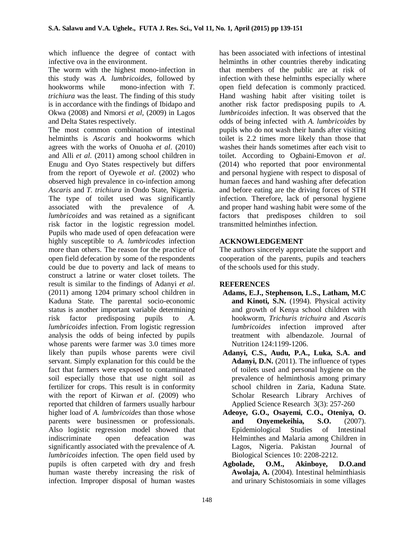which influence the degree of contact with infective ova in the environment.

The worm with the highest mono-infection in this study was *A. lumbricoides*, followed by hookworms while mono-infection with *T. trichiura* was the least. The finding of this study is in accordance with the findings of Ibidapo and Okwa (2008) and Nmorsi *et al,* (2009) in Lagos and Delta States respectively.

The most common combination of intestinal helminths is *Ascaris* and hookworms which agrees with the works of Onuoha *et al*. (2010) and Alli *et al.* (2011) among school children in Enugu and Oyo States respectively but differs from the report of Oyewole *et al*. (2002) who observed high prevalence in co-infection among *Ascaris* and *T. trichiura* in Ondo State, Nigeria. The type of toilet used was significantly associated with the prevalence of *A. lumbricoides* and was retained as a significant risk factor in the logistic regression model. Pupils who made used of open defeacation were highly susceptible to *A. lumbricodes* infection more than others. The reason for the practice of open field defecation by some of the respondents could be due to poverty and lack of means to construct a latrine or water closet toilets. The result is similar to the findings of Adanyi *et al*. (2011) among 1204 primary school children in Kaduna State. The parental socio-economic status is another important variable determining risk factor predisposing pupils to *A. lumbricoides* infection. From logistic regression analysis the odds of being infected by pupils whose parents were farmer was 3.0 times more likely than pupils whose parents were civil servant. Simply explanation for this could be the fact that farmers were exposed to contaminated soil especially those that use night soil as fertilizer for crops. This result is in conformity with the report of Kirwan *et al*. (2009) who reported that children of farmers usually harbour higher load of *A. lumbricoides* than those whose parents were businessmen or professionals. Also logistic regression model showed that indiscriminate open defeacation was significantly associated with the prevalence of *A. lumbricoides* infection. The open field used by pupils is often carpeted with dry and fresh human waste thereby increasing the risk of infection. Improper disposal of human wastes

has been associated with infections of intestinal helminths in other countries thereby indicating that members of the public are at risk of infection with these helminths especially where open field defecation is commonly practiced. Hand washing habit after visiting toilet is another risk factor predisposing pupils to *A. lumbricoides* infection. It was observed that the odds of being infected with *A. lumbricoides* by pupils who do not wash their hands after visiting toilet is 2.2 times more likely than those that washes their hands sometimes after each visit to toilet. According to Ogbaini-Emovon *et al*. (2014) who reported that poor environmental and personal hygiene with respect to disposal of human faeces and hand washing after defecation and before eating are the driving forces of STH infection. Therefore, lack of personal hygiene and proper hand washing habit were some of the factors that predisposes children to soil transmitted helminthes infection.

# **ACKNOWLEDGEMENT**

The authors sincerely appreciate the support and cooperation of the parents, pupils and teachers of the schools used for this study.

# **REFERENCES**

- **Adams, E.J., Stephenson, L.S., Latham, M.C and Kinoti, S.N.** (1994). Physical activity and growth of Kenya school children with hookworm, *Trichuris trichuira* and *Ascaris lumbricoides* infection improved after treatment with albendazole. Journal of Nutrition 124:1199-1206.
- **Adanyi, C.S., Audu, P.A., Luka, S.A. and Adanyi, D.N.** (2011). The influence of types of toilets used and personal hygiene on the prevalence of helminthosis among primary school children in Zaria, Kaduna State. Scholar Research Library Archives of Applied Science Research 3(3): 257-260
- **Adeoye, G.O., Osayemi, C.O., Oteniya, O. and Onyemekeihia, S.O.** (2007). Epidemiological Studies of Intestinal Helminthes and Malaria among Children in Lagos, Nigeria. Pakistan Journal of Biological Sciences 10: 2208-2212*.*
- **Agbolade, O.M., Akinboye, D.O.and Awolaja, A.** (2004). Intestinal helminthiasis and urinary Schistosomiais in some villages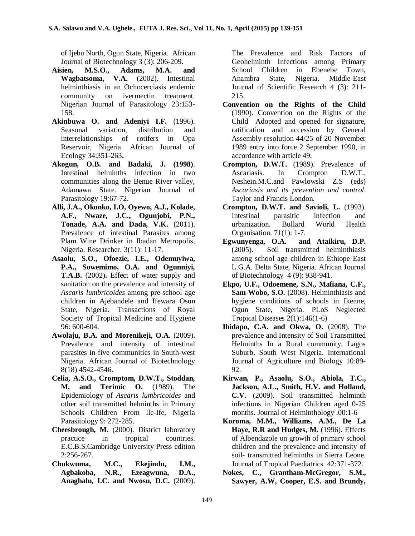of Ijebu North, Ogun State, Nigeria. African Journal of Biotechnology 3 (3): 206-209.

- **Aisien, M.S.O., Adams, M.A. and Wagbatsoma, V.A.** (2002). Intestinal helminthiasis in an Ochocerciasis endemic community on ivermectin treatment. Nigerian Journal of Parasitology 23:153- 158.
- **Akinbuwa O. and Adeniyi I.F.** (1996). Seasonal variation, distribution and interrelationships of rotifers in Opa Reservoir, Nigeria. African Journal of Ecology 34:351-263**.**
- **Akogun, O.B. and Badaki, J. (1998)**. Intestinal helminths infection in two communities along the Benue River valley, Adamawa State. Nigerian Journal of Parasitology 19:67-72.
- **Alli, J.A., Okonko, I.O, Oyewo, A.J., Kolade, A.F., Nwaze, J.C., Ogunjobi, P.N., Tonade, A.A. and Dada, V.K.** (2011). Prevalence of intestinal Parasites among Plam Wine Drinker in Ibadan Metropolis, Nigeria. Researcher. 3(11): 11-17.
- **Asaolu, S.O., Ofoezie, I.E., Odemuyiwa, P.A., Sowemimo, O.A. and Ogunniyi, T.A.B.** (2002)**.** Effect of water supply and sanitation on the prevalence and intensity of *Ascaris lumbricoides* among pre-school age children in Ajebandele and Ifewara Osun State, Nigeria. Transactions of Royal Society of Tropical Medicine and Hygiene 96: 600-604.
- **Awolaju, B.A. and Morenikeji, O.A.** (2009)**.** Prevalence and intensity of intestinal parasites in five communities in South-west Nigeria. African Journal of Biotechnology 8(18) 4542-4546.
- **Celia, A.S.O., Cromptom, D.W.T., Stoddan, M. and Terimic O.** (1989). The Epidemiology of *Ascaris lumbricoides* and other soil transmitted helminths in Primary Schools Children From Ile-Ife, Nigeria Parasitology 9: 272-285.
- **Cheesbrough, M.** (2000). District laboratory practice in tropical countries. E.C.B.S.Cambridge University Press edition 2:256-267.
- **Chukwuma, M.C., Ekejindu, I.M., Agbakoba, N.R., Ezeagwuna, D.A., Anaghalu, I.C. and Nwosu, D.C.** (2009).

The Prevalence and Risk Factors of Geohelminth Infections among Primary School Children in Ebenebe Town, Anambra State, Nigeria. Middle-East Journal of Scientific Research 4 (3): 211- 215.

- **Convention on the Rights of the Child**  (1990). Convention on the Rights of the Child Adopted and opened for signature, ratification and accession by General Assembly resolution 44/25 of 20 November 1989 entry into force 2 September 1990, in accordance with article 49.
- **Crompton, D.W.T.** (1989). Prevalence of Ascariasis. In Crompton D.W.T., Neshein.M.C.and Pawlowski Z.S (eds) *Ascariasis and its prevention and control*. Taylor and Francis London.
- **Crompton, D.W.T. and Savioli, L.** (1993). Intestinal parasitic infection and urbanization. Bullard World Health Organisation. 71(1): 1-7.
- **Egwunyenga, O.A. and Ataikiru, D.P.**  (2005). Soil transmitted helminthiasis among school age children in Ethiope East L.G.A. Delta State, Nigeria. African Journal of Biotechnology 4 (9): 938-941.
- **Ekpo, U.F., Odoemene, S.N., Mafiana, C.F., Sam-Wobo, S.O.** (2008). Helminthiasis and hygiene conditions of schools in Ikenne, Ogun State, Nigeria. PLoS Neglected Tropical Diseases 2(1):146(1-6)
- **Ibidapo, C.A. and Okwa, O.** (2008). The prevalence and Intensity of Soil Transmitted Helminths In a Rural community, Lagos Suburb, South West Nigeria. International Journal of Agriculture and Biology 10:89- 92.
- **Kirwan, P., Asaolu, S.O., Abiola, T.C., Jackson, A.L., Smith, H.V. and Holland, C.V.** (2009). Soil transmitted helminth infections in Nigerian Children aged 0-25 months. Journal of Helminthology .00:1-6
- **Koroma, M.M., Williams, A.M., De La Haye, R.R and Hudges, M.** (1996)**.** Effects of Albendazole on growth of primary school children and the prevalence and intensity of soil- transmitted helminths in Sierra Leone. Journal of Tropical Paediatrics 42:371-372.
- **Nokes, C., Grantham-McGregor, S.M., Sawyer, A.W, Cooper, E.S. and Brundy,**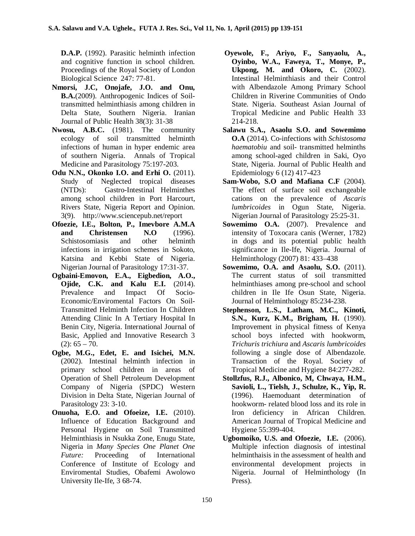**D.A.P.** (1992). Parasitic helminth infection and cognitive function in school children. Proceedings of the Royal Society of London Biological Science247: 77-81.

- **Nmorsi, J.C, Onojafe, J.O. and Onu, B.A.**(2009). Anthropogenic Indices of Soiltransmitted helminthiasis among children in Delta State, Southern Nigeria. Iranian Journal of Public Health 38(3): 31-38
- **Nwosu, A.B.C.** (1981). The community ecology of soil transmitted helminth infections of human in hyper endemic area of southern Nigeria. Annals of Tropical Medicine and Parasitology 75:197-203.
- **Odu N.N., Okonko I.O. and Erhi O.** (2011). Study of Neglected tropical diseases (NTDs): Gastro-Intestinal Helminthes among school children in Port Harcourt, Rivers State, Nigeria Report and Opinion. 3(9). http://www.sciencepub.net/report
- **Ofoezie, I.E., Bolton, P., Imevbore A.M.A and Christensen N.O** (1996). Schistosomiasis and other helminth infections in irrigation schemes in Sokoto, Katsina and Kebbi State of Nigeria. Nigerian Journal of Parasitology 17:31-37.
- **Ogbaini-Emovon, E.A., Eigbedion, A.O., Ojide, C.K. and Kalu E.I.** (2014). Prevalence and Impact Of Socio-Economic/Enviromental Factors On Soil-Transmitted Helminth Infection In Children Attending Clinic In A Tertiary Hospital In Benin City, Nigeria. International Journal of Basic, Applied and Innovative Research 3  $(2): 65 - 70.$
- **Ogbe, M.G., Edet, E. and Isichei, M.N.**  (2002). Intestinal helminth infection in primary school children in areas of Operation of Shell Petroleum Development Company of Nigeria (SPDC) Western Division in Delta State, Nigerian Journal of Parasitology 23: 3-10.
- **Onuoha, E.O. and Ofoeize, I.E.** (2010). Influence of Education Background and Personal Hygiene on Soil Transmitted Helminthiasis in Nsukka Zone, Enugu State, Nigeria in *Many Species One Planet One Future:* Proceeding of International Conference of Institute of Ecology and Enviromental Studies, Obafemi Awolowo University Ile-Ife, 3 68-74.
- **Oyewole, F., Ariyo, F., Sanyaolu, A., Oyinbo, W.A., Faweya, T., Monye, P., Ukpong, M. and Okoro, C.** (2002). Intestinal Helminthiasis and their Control with Albendazole Among Primary School Children in Riverine Communities of Ondo State. Nigeria. Southeast Asian Journal of Tropical Medicine and Public Health 33 214-218.
- **Salawu S.A., Asaolu S.O. and Sowemimo O.A** (2014). Co-infections with *Schistosoma haematobiu* and soil- transmitted helminths among school-aged children in Saki, Oyo State, Nigeria. Journal of Public Health and Epidemiology 6 (12) 417-423
- **Sam-Wobo, S.O and Mafiana C.F** (2004). The effect of surface soil exchangeable cations on the prevalence of *Ascaris lumbricoides* in Ogun State, Nigeria. Nigerian Journal of Parasitology 25:25-31.
- **Sowemimo O.A.** (2007). Prevalence and intensity of Toxocara canis (Werner, 1782) in dogs and its potential public health significance in Ile-Ife, Nigeria. Journal of Helminthology (2007) 81: 433–438
- **Sowemimo, O.A. and Asaolu, S.O.** (2011). The current status of soil transmitted helminthiases among pre-school and school children in Ile Ife Osun State, Nigeria. Journal of Helminthology 85:234-238.
- **Stephenson, L.S., Latham, M.C., Kinoti, S.N., Kurz, K.M., Brigham, H.** (1990). Improvement in physical fitness of Kenya school boys infected with hookworm, *Trichuris trichiura* and *Ascaris lumbricoides* following a single dose of Albendazole. Transaction of the Royal. Society of Tropical Medicine and Hygiene 84:277-282.
- **Stollzfus, R.J., Albonico, M, Chwaya, H.M., Savioli, L., Tielsh, J., Schulze, K., Yip, R.**  (1996). Haemoduant determination of hookworm- related blood loss and its role in Iron deficiency in African Children. American Journal of Tropical Medicine and Hygiene 55:399-404.
- **Ugbomoiko, U.S. and Ofoezie, I.E.** (2006). Multiple infection diagnosis of intestinal helminthaisis in the assessment of health and environmental development projects in Nigeria. Journal of Helminthology (In Press).